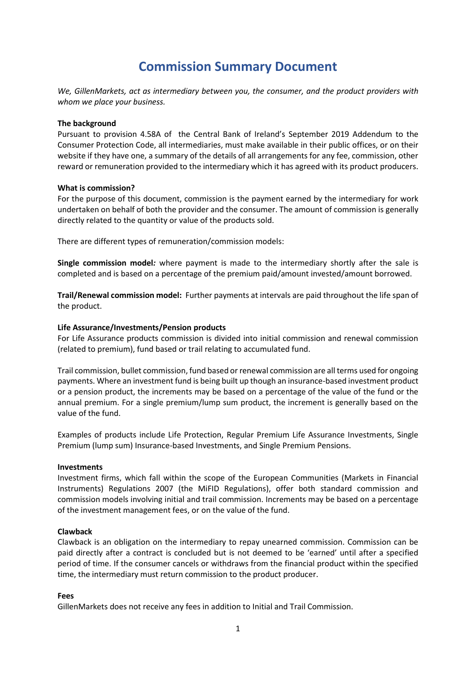## **Commission Summary Document**

*We, GillenMarkets, act as intermediary between you, the consumer, and the product providers with whom we place your business.*

## **The background**

Pursuant to provision 4.58A of the Central Bank of Ireland's September 2019 Addendum to the Consumer Protection Code, all intermediaries, must make available in their public offices, or on their website if they have one, a summary of the details of all arrangements for any fee, commission, other reward or remuneration provided to the intermediary which it has agreed with its product producers.

## **What is commission?**

For the purpose of this document, commission is the payment earned by the intermediary for work undertaken on behalf of both the provider and the consumer. The amount of commission is generally directly related to the quantity or value of the products sold.

There are different types of remuneration/commission models:

**Single commission model***:* where payment is made to the intermediary shortly after the sale is completed and is based on a percentage of the premium paid/amount invested/amount borrowed.

**Trail/Renewal commission model:** Further payments at intervals are paid throughout the life span of the product.

## **Life Assurance/Investments/Pension products**

For Life Assurance products commission is divided into initial commission and renewal commission (related to premium), fund based or trail relating to accumulated fund.

Trail commission, bullet commission, fund based or renewal commission are all terms used for ongoing payments. Where an investment fund is being built up though an insurance-based investment product or a pension product, the increments may be based on a percentage of the value of the fund or the annual premium. For a single premium/lump sum product, the increment is generally based on the value of the fund.

Examples of products include Life Protection, Regular Premium Life Assurance Investments, Single Premium (lump sum) Insurance-based Investments, and Single Premium Pensions.

#### **Investments**

Investment firms, which fall within the scope of the European Communities (Markets in Financial Instruments) Regulations 2007 (the MiFID Regulations), offer both standard commission and commission models involving initial and trail commission. Increments may be based on a percentage of the investment management fees, or on the value of the fund.

## **Clawback**

Clawback is an obligation on the intermediary to repay unearned commission. Commission can be paid directly after a contract is concluded but is not deemed to be 'earned' until after a specified period of time. If the consumer cancels or withdraws from the financial product within the specified time, the intermediary must return commission to the product producer.

#### **Fees**

GillenMarkets does not receive any fees in addition to Initial and Trail Commission.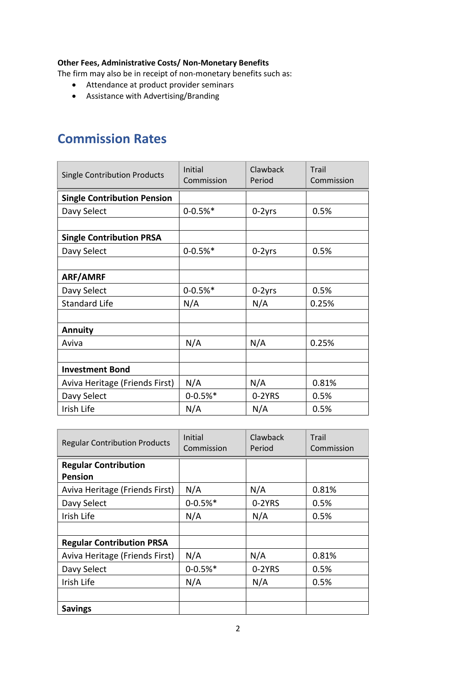## **Other Fees, Administrative Costs/ Non-Monetary Benefits**

The firm may also be in receipt of non-monetary benefits such as:

- Attendance at product provider seminars
- Assistance with Advertising/Branding

# **Commission Rates**

| <b>Single Contribution Products</b> | Initial<br>Commission | Clawback<br>Period | Trail<br>Commission |
|-------------------------------------|-----------------------|--------------------|---------------------|
| <b>Single Contribution Pension</b>  |                       |                    |                     |
| Davy Select                         | $0 - 0.5%$            | 0-2yrs             | 0.5%                |
|                                     |                       |                    |                     |
| <b>Single Contribution PRSA</b>     |                       |                    |                     |
| Davy Select                         | $0 - 0.5%$            | $0-2yrs$           | 0.5%                |
|                                     |                       |                    |                     |
| ARF/AMRF                            |                       |                    |                     |
| Davy Select                         | $0 - 0.5%$            | $0-2yrs$           | 0.5%                |
| <b>Standard Life</b>                | N/A                   | N/A                | 0.25%               |
|                                     |                       |                    |                     |
| <b>Annuity</b>                      |                       |                    |                     |
| Aviva                               | N/A                   | N/A                | 0.25%               |
|                                     |                       |                    |                     |
| <b>Investment Bond</b>              |                       |                    |                     |
| Aviva Heritage (Friends First)      | N/A                   | N/A                | 0.81%               |
| Davy Select                         | $0 - 0.5%$            | 0-2YRS             | 0.5%                |
| Irish Life                          | N/A                   | N/A                | 0.5%                |

| <b>Regular Contribution Products</b>          | Initial<br>Commission | Clawback<br>Period | Trail<br>Commission |
|-----------------------------------------------|-----------------------|--------------------|---------------------|
| <b>Regular Contribution</b><br><b>Pension</b> |                       |                    |                     |
| Aviva Heritage (Friends First)                | N/A                   | N/A                | 0.81%               |
| Davy Select                                   | $0 - 0.5%$            | 0-2YRS             | 0.5%                |
| Irish Life                                    | N/A                   | N/A                | 0.5%                |
|                                               |                       |                    |                     |
| <b>Regular Contribution PRSA</b>              |                       |                    |                     |
| Aviva Heritage (Friends First)                | N/A                   | N/A                | 0.81%               |
| Davy Select                                   | $0 - 0.5%$            | 0-2YRS             | 0.5%                |
| Irish Life                                    | N/A                   | N/A                | 0.5%                |
|                                               |                       |                    |                     |
| <b>Savings</b>                                |                       |                    |                     |